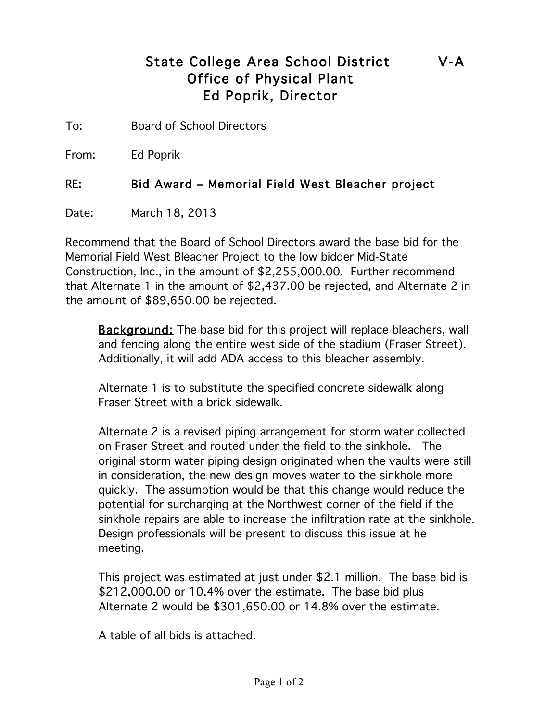## State College Area School District V-A Office of Physical Plant Ed Poprik, Director

To: Board of School Directors

From: Ed Poprik

RE: Bid Award – Memorial Field West Bleacher project

Date: March 18, 2013

Recommend that the Board of School Directors award the base bid for the Memorial Field West Bleacher Project to the low bidder Mid-State Construction, Inc., in the amount of \$2,255,000.00. Further recommend that Alternate 1 in the amount of \$2,437.00 be rejected, and Alternate 2 in the amount of \$89,650.00 be rejected.

**Background:** The base bid for this project will replace bleachers, wall and fencing along the entire west side of the stadium (Fraser Street). Additionally, it will add ADA access to this bleacher assembly.

Alternate 1 is to substitute the specified concrete sidewalk along Fraser Street with a brick sidewalk.

Alternate 2 is a revised piping arrangement for storm water collected on Fraser Street and routed under the field to the sinkhole. The original storm water piping design originated when the vaults were still in consideration, the new design moves water to the sinkhole more quickly. The assumption would be that this change would reduce the potential for surcharging at the Northwest corner of the field if the sinkhole repairs are able to increase the infiltration rate at the sinkhole. Design professionals will be present to discuss this issue at he meeting.

This project was estimated at just under \$2.1 million. The base bid is \$212,000.00 or 10.4% over the estimate. The base bid plus Alternate 2 would be \$301,650.00 or 14.8% over the estimate.

A table of all bids is attached.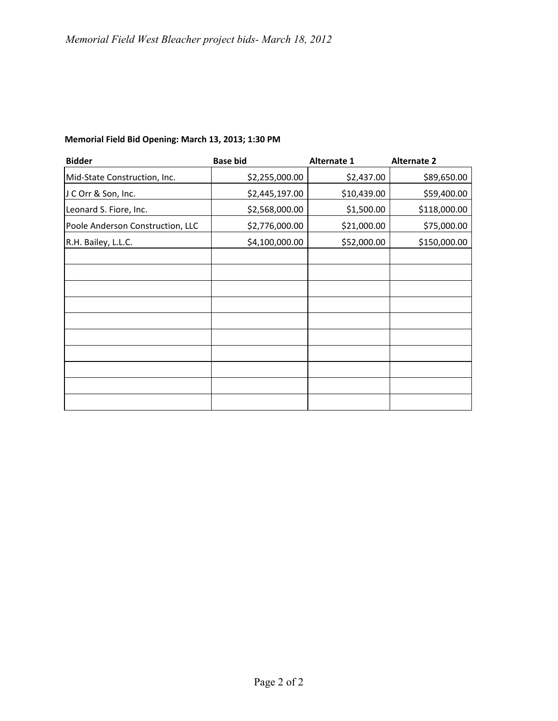| <b>Bidder</b>                    | <b>Base bid</b> | <b>Alternate 1</b> | <b>Alternate 2</b> |
|----------------------------------|-----------------|--------------------|--------------------|
| Mid-State Construction, Inc.     | \$2,255,000.00  | \$2,437.00         | \$89,650.00        |
| J C Orr & Son, Inc.              | \$2,445,197.00  | \$10,439.00        | \$59,400.00        |
| Leonard S. Fiore, Inc.           | \$2,568,000.00  | \$1,500.00         | \$118,000.00       |
| Poole Anderson Construction, LLC | \$2,776,000.00  | \$21,000.00        | \$75,000.00        |
| R.H. Bailey, L.L.C.              | \$4,100,000.00  | \$52,000.00        | \$150,000.00       |
|                                  |                 |                    |                    |
|                                  |                 |                    |                    |
|                                  |                 |                    |                    |
|                                  |                 |                    |                    |
|                                  |                 |                    |                    |
|                                  |                 |                    |                    |
|                                  |                 |                    |                    |
|                                  |                 |                    |                    |
|                                  |                 |                    |                    |
|                                  |                 |                    |                    |

## **Memorial Field Bid Opening: March 13, 2013; 1:30 PM**